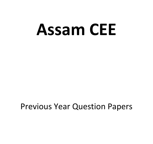# **Assam CEE**

## Previous Year Question Papers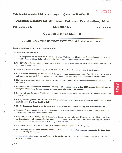### 2202371

This Booklet contains 25+3 printed pages. Question Booklet No. :

#### Question Booklet for Combined Entrance Examination, 2O!4

#### Full Marks : 100 **CHEMISTRY** Time : 2 Hours

#### Question Booklet SET : B

#### DO NOT OPEN THIS BOOKLET UNTIL YOU ARE ASKED TO DO SO

#### Read the following INSTRUCTIONS carefully:

#### 1. Use black ball pen only.

- 2. Fill in the particulars on the Side 1 and Side 2 of the OMR Answer Sheet as per Instructions on the Side 1 of the OMR Answer Sheet, failing of which the OMR Answer Sheet shall not be evaluated.
- 3. The SET of this Question Booklet is B. Write this SET at the specific space provided on the Side 1 and Side 2 of the OMR Answer Sheet.
- 4. There are 100 (one hundred) questions in this Question Booklet, each carrying 1 (one) mark.
- 5. Each question or incomplete statement is followed by 4 (four) suggestive answers-[A], [B], [C] and [D] of which only one is correct. Mark the correct answer by darkening the appropriate circle in the OMR Answer Sheet.
- 6. Marking of more than one answer against any question will be treated as incorrect response and no mark shall be awarded,
- 7. Any change in answer made or erased by using solid or liquid eraser in the OMR Answer Sheet will not be accepted. Therefore, do not change or erase once the answer is marked.
- 8. No part of the Question Booklet or the OMR Answer Sheet shall be detached or defaced under any circumatances.
- 9. Use of mobile phone, calculator, log table, compass, scale and any electronic gadget is strictly prohibited in the Examination Hall.
- 10. The OMR Answer Sheet must be returned to the Invigilator before leaving the Examination Hall.
- 11. Adoption of unfair means in any form or violation of instruction as mentioned in Point Nos. 9 and 10 shall result in expulsion from the entire examination.
- 12. Temporary absence during the examination hours is not allowed. However, a candidate can leave the Examination Hall temporarily one hour after commencement of examination by submitting the Question Booklet and OMR Answer Sheet to the Invigilator(s) on duty.
- 13. The candidate must ensure that the OMR Answer Sheet is signed by the Invigilator.
- 14. After opening the Question Booklet, check the total number of printed pages and report to the Invigilator<br>in case of any discrepancy.
- 15. In case of any discrepancy or confusion in the medium/version, the English version will be treated as the authentic version.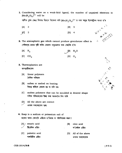1. Considering water as a weak-field ligand, the number of unpaired electrons in  $[Mn(H_2O)_6]^{2+}$  will be

পানীক দুৰ্বল ক্ষেত্ৰ লিগাণ্ড হিচাবে বিবেচনা কৰি  ${\rm [Mn\, (H}_{2}{\rm O)}_{6})^{2+}$  ত থকা অযুগ্ম ইলেক্ট্ৰনৰ সংখ্যা হ'ব

tAl 3

 $|\mathcal{C}|$ 

 $|B|$  5

- $\iota$  $\sim$ -,ol ueM 6 ,<\ 4- n4/ z't\ ./ ) !:z
- 2. The atmospheric gas which cannot produce greenhouse effect is দেউজগৃহ প্ৰভাৱ সৃষ্টি কৰিব নোৱাৰা বায়ুমণ্ডলত থকা গেছবিধ হ'ল
	- $[$ B $]$  H<sub>2</sub>O  $[D]$   $O_3$  $[A]$  N<sub>2</sub>  $[C]$   $CO<sub>2</sub>$

2  $[D]$  4

- 3. Thermoplastics are তাপপ্লাষ্টিকবোৰ
	- [A] linear polymers ৰৈখিক পলিমাৰ
	- [B] soften or melted on heating উত্তপ্ত কৰিলে কোমল হয় বা গলি যায়
	- [C] molten polymers that can be moulded in desired shape গলিত পলিমাৰবোৰ ইচ্ছা কৰা আকাৰলৈ নিব পাৰি
	- $|D|$ All the above are correct ওপৰৰ সকলোবোৰ শুদ্ধ
- 4. Soap is a sodium or potassium salt of চাবোন তলৰ কোনটো এছিডৰ ছ'ডিয়াম বা পটাসিয়ামৰ লৱণ?
	- oleic acid অ'লেইক এছিড [A] stearic acid  $|B|$
	- AII of the above ওপৰৰ সকলোবোৰ [C] palmitic acid পালমিটিক এছিড  $|D|$



ri^  $\bigvee$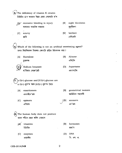5. The deficiency of vitamin K creates

ভিটামিন Kৰ অভাৱত উদ্ভৱ হোৱা বেমাৰটো হ'ল

- excessive bleeding in injury [A] আঘাতত অত্যধিক ৰক্তস্ৰাৱ
- night blindness  $|B|$ ককৰীকণা

 $|C|$ scurvy স্পার্তি

 $|D|$ beriberi বেৰিবেৰি

Which of the following is not an artificial sweetening agent? তলত দিয়াবিলাকৰ ভিতৰত কোনটো কৃত্ৰিম মিঠাকাৰক নহয়?

 $|A|$ Sucralose  $|B|$ Alitame এলিটেম চক্ৰালজ Sodium benzoate  $[D]$ Aspartame ছ'ডিয়াম বেনজ'য়েট এছপাৰটেম

 $(7. x-D+1)$ -glucose and  $\beta$ -D(+)-glucose are  $\alpha$ -D(+)-গ্লুক'জ আৰু β-D(+)-গ্লুক'জ হৈছে

- $[A]$ enantiomers এনানছিঅ'মাৰ
- epimers  $[C]$ এপিমাৰ

geometrical isomers  $|B|$ জ্যামিতিক সমযোগী

anomers  $[D]$ এন'মাৰ

- The human body does not produce মানৱ শৰীৰে প্ৰস্তুত কৰিব নোৱাৰে
	- vitamins JAÍ ভিটামিন
	- $|C|$ enzymes এনজাইম
- $|B|$ hormones হৰম'ন
- **DNA**  $[D]$ ডি. এন. এ.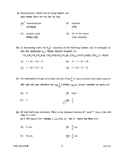9. Biomolecules, which act as drug targets, are ড্ৰাগৰ লক্ষ্যন্থান হিচাবে কাম কৰা জৈৱ অণু হৈছে

 $\left| A \right\rangle^4$  carbohydrates  $|B|$ proteins প্ৰ'টিন  $|C|$ nucleic acids All of the above  $|D|$ নিউক্লিক এছিড ওপৰৰ সকলোবোৰ

10. In decreasing order the  $S_N^2$  reactivity of the following halides can be arranged as তলত দিয়া হেলাইডসমূহৰ S<sub>N</sub>2 বিক্ৰিয়াৰ সক্ৰিয়তাৰ অধঃক্ৰমটো হ'ব

 $CH_3CH_2CH_2CH_2BH$  (i),  $CH_3CHBrCH_2CH_3$  (I),  $(CH_3)_2CHCH_2Br$  (II),  $(CH_3)_3C$ —Br (IV)

- $[A]$  I > IV > III > II  $[B]$   $II > I > IV > III$
- $[C] \quad \ \, \text{I} \, > \, \text{III} \, > \, \text{IV} \, > \, \text{II}$  $[D]$  I > III > II > IV

11. For adsorption of a gas on a solid, the plot of  $\log \frac{x}{m}$  vs. log p is linear with slope equal to কঠিন পৃষ্ঠত এটা গেছৰ অধিশোষণৰ বাবে  $\log \frac{x}{m}$ ৰ বিপৰীতে  $\log p$ ৰ লেখডাল সৰলৰৈখিক যাৰ প্ৰৱণতা হ'ল

$$
[A] \quad k \qquad [B] \quad \log k
$$

$$
[C] \quad n \qquad \qquad \overbrace{\qquad} [D] \quad \frac{1}{n}
$$

12. KF has NaCl-type structure. What is the distance between  $K^+$  and  $F^-$  ions, if the cell edge is a cm? KF ৰ গঠন NaCl ৰ দৰে। কোষপ্ৰান্ত a cm হ'লে, K<sup>+</sup> আৰু F<sup>-</sup> আয়নৰ দূৰত্ব কিমান হ'ব?

- [B]  $\frac{a}{2}$  cm  $[A]$  $2 \text{ cm}$
- [D]/ $\frac{a}{4}$  cm  $|C|$ 4a cm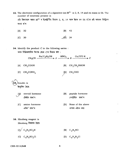13. The electronic configuration of a dipositive ion  $M^{2+}$  is 2, 8, 14 and its mass is 56. The number of neutrons present is এটা দ্বিধনাত্মক আয়ন  $M^{2+}$  ৰ ইলেক্ট্ৰ'নীয় বিন্যাস 2, 8, 14 আৰু ইয়াৰ ভৰ 56 হ'লে এই আয়নৰ নিউট্ৰনৰ সংখ্যা হ'ল

$$
[A] \quad 32 \qquad [B] \quad 42
$$

- $\overline{AD}1$  34  $|C|$ 30
- 14. Identify the product C in the following series : তলৰ বিক্ৰিয়ালানিত উৎপন্ন হোৱা Cক চিনাক্ত কৰা:

CH<sub>3</sub>CN  $\xrightarrow{\text{Na/C}_2\text{H}_5\text{OH}} A \xrightarrow{\text{HNO}_2} B \xrightarrow{\text{Cu/573 K}} C$ 

 $[A]$  CH<sub>3</sub>COOH [B]  $CH_3CH_2NHOH$  $[D]$  CH<sub>3</sub>CHO  $[C]$  CH<sub>3</sub>CONH<sub>2</sub>

Insulin is ইনচলিন হৈছে

- steroid hormone [B] peptide hormone ষ্টেৰইড হৰম'ন পেপটাইড হৰম'ন
- amino hormone  $|C|$ এমিন' হৰম'ন
- [D] None of the above
- ওপৰৰ এটাও নহয়

- 16. Hinsberg reagent is Hinsberg বিকাৰক হৈছে
	- $[A]$  C<sub>6</sub>H<sub>5</sub>SO<sub>3</sub>H  $[B]$  C<sub>6</sub>H<sub>5</sub>NO  $[C]$  C<sub>6</sub>H<sub>5</sub>SO<sub>2</sub>Cl [D]  $C_6H_5N_2Cl$
- CEE-2014/3-B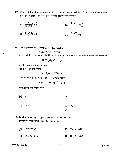17. Which of the following represents the expression for  $\frac{3}{4}$ th life of a first-order reaction? প্ৰথম-ক্ৰম বিক্ৰিয়াৰ <sup>3</sup> তম আয়ু তলৰ কোনটো উক্তিয়ে নিৰ্ণয় কৰিছে?

[A] 
$$
\frac{k}{2.303} \log \frac{4}{3}
$$
  $\qquad \qquad \text{A)} \qquad \frac{2.303}{k} \log \frac{3}{4}$ 

[C] 
$$
\frac{2 \cdot 303}{k} \log 4
$$
 [D]  $\frac{2 \cdot 303}{k} \log 3$ 

18. The equilibrium constant for the reaction

$$
H_2(g) + I_2(g) \rightleftharpoons 2HI(g)
$$

at a certain temperature is 49. What will be the equilibrium constant for the reaction

$$
HI(g) \rightleftharpoons \frac{1}{2}H_2(g) + \frac{1}{2}I_2(g)
$$

at the same temperature?

এক নির্দিষ্ট উষ্ণতাত বিক্রিয়া

$$
H_2(g) + I_2(g) \rightleftharpoons 2HI(g) \overline{q}
$$

সাম্য ধ্ৰুৱকৰ মান 49 হ'লে, সেই একে উষ্ণতাত বিক্ৰিয়া

$$
HI(g) \rightleftharpoons \frac{1}{2}H_2(g) + \frac{1}{2}I_2(g) \blacktriangleleft
$$

সাম্য ধ্ৰুৱকৰ মান কিমান হ'ব?

- $[B] \frac{1}{7}$  $[A]$  7
- $[C]$  $24.5$ 98

19. During roasting, copper pyrites is converted to তাপজাৰণৰ সময়ত কপাৰ পাইৰাইটচ পৰিবৰ্ত্তিত হয় গৈ

- $\begin{bmatrix} A \end{bmatrix}$  CuS+Fe<sub>2</sub>S<sub>3</sub> [B]  $Cu_2S + FeS$
- [C]  $CuSO_4 + FeS$ [D]  $Cu_2S + FeSO_4$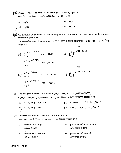তলত দিয়াবোৰৰ ভিতৰত কোনটো আটাইতকৈ শক্তিশালী বিজাৰক?

- $|B|$  $H_2S$  $[A]$  $H_2O$  $\angle$ [D] H<sub>2</sub>Te  $H_2$ Se
- 

An equimolar mixture of benzaldehyde and methanal, on treatment with sodium hydroxide produces

বেন্জেলডিহাইড আৰু মিথানেলৰ সমম'লাৰ মিশ্ৰণ এটাক ছ'ডিয়াম হাইড্ৰ'ক্সাইডৰ সৈতে বিক্ৰিয়া হ'বলৈ দিলে উৎপন্ন হ'ব



**22.** The reagent needed to convert  $C_6H_5CONH_2$  to  $C_6H_5-MH-COCH_3$  is  $\rm C_6H_5CONH_2$ ক  $\rm C_6H_5$ —NH—COCH $_3$  লৈ পৰিবৰ্ত্তন কৰিবলৈ প্ৰয়োজনীয় বিকাৰক হ'ল

- [B] KOH/Br<sub>2</sub>; H<sub>2</sub>/Ni;  $(CH_3CO)_2O$  $KOH/Br_2$ ;  $CH_3COCl$  $[A]$ [D]  $HNO_2$ ; Cu<sub>2</sub>Cl<sub>2</sub>; (CH<sub>3</sub>CO)<sub>2</sub>O  $\rm KOH/Br_2;~LiAlH_4$ [C]
- 23. Baeyer's reagent is used for the detection of তলত দিয়া কোনটো চিনাক্ত কৰিবৰ বাবে বেয়াৰৰ বিকাৰক ব্যৱহৃত হয়?
	- presence of unsaturation presence of sugar  $|B|$  $[A]$ অসংপক্ততাৰ উপস্থিতি শৰ্কৰাৰ উপস্থিতি presence of ketone [D] presence of alcohol  $|C|$ এলক'হলৰ উপস্থিতি কিট'নৰ উপস্থিতি

CEE-2014/3-B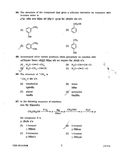24. The structure of the compound that gives a tribromo derivative on treatment with bromine water is

ব্ৰ'মিন পানীৰ লগত বিক্ৰিয়া কৰি ট্ৰাইব্ৰ'ম' ব্যুৎপন্ন দিয়া যৌগটোৰ গঠন হ'ল



 $[$  P.T.O.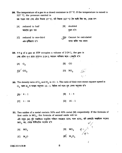- **28.** The temperature of a gas in a closed container is 27  $^{\circ}$ C. If the temperature is raised to 327 °C, the pressure exerted is বন্ধ পাত্ৰত থকা গেছ এটাৰ উষ্ণতা 27 °C. যদি উষ্ণতা 327 °C লৈ বঢ়াই দিয়া হয়, তেন্তে চাপ
	- $|B|$ doubled  $[A]$ reduced to half আধালৈ হ্ৰাস পাব দপ্তণ হ'ব
	- [D] Cannot be calculated reduced to one-third  $|C|$ গণনা কৰিব পৰা নাযাব এক-তৃতীয়াংশ হ'ব

**29.** 4.4 g of a gas at STP occupies a volume of  $2.24$  L, the gas is গেছ এটাৰ 4.4 গ্ৰামে STPত 2.24 L আয়তন অধিকাৰ কৰে। গেছটো হ'ব

 $[B]$  CO  $[A]$  O<sub>2</sub>  $\left| \begin{smallmatrix} G \\ G \end{smallmatrix} \right|^\prime$  CO<sub>2</sub>  $\begin{picture}(120,140)(-0,0) \put(0,0){\line(1,0){10}} \put(15,0){\line(1,0){10}} \put(15,0){\line(1,0){10}} \put(15,0){\line(1,0){10}} \put(15,0){\line(1,0){10}} \put(15,0){\line(1,0){10}} \put(15,0){\line(1,0){10}} \put(15,0){\line(1,0){10}} \put(15,0){\line(1,0){10}} \put(15,0){\line(1,0){10}} \put(15,0){\line(1,0){10}} \put(15$  $t_i \leq 1$ 

- **30.** The density ratio of  $O_2$  and  $H_2$  is 16 : 1. The ratio of their root-mean-square speed is  $O_2$  আৰু  $H_2$ ৰ ঘনত্বৰ অনুপাত 16:1. ইহঁতৰ বৰ্গ-গড়ৰ মূল বেগৰ অনুপাত হ'ব
	- $[A] \neq 4:1$  $[B] 1:4$
	- $[D] 16:1$  $|C|$  1 : 16
- 31. Two oxides of a metal contain 50% and 40% metal (M) respectively. If the formula of first oxide is  $MO_{2}$ , the formula of second oxide will be এটা ধাতৃৰ (M) দুটা অক্সাইডত ধাতুটোৰ পৰিমাণ যথাক্ৰমে 50% আৰু 40%, যদি প্ৰথমটো অক্সাইডৰ সংকেত  $MO_{2}$  হয়, তেন্তে দ্বিতীয়টোৰ সংকেত হ'ব

[B] MO<sub>3</sub>  $\psi \sim \frac{1}{\sqrt{2}}$ [A]  $MO_{\alpha}$  $[C]$   $M_2O$ 

CEE-2014/3-B

8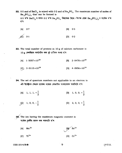**32.** 0.5 mol of BaCl<sub>2</sub> is mixed with 0.2 mol of Na<sub>3</sub>PO<sub>4</sub>. The maximum number of moles of  $Ba_3(PO_4)_2$  that can be formed is 0.5 ম'ল BaCl<sub>2</sub>ৰ লগত 0.2 ম'ল Na<sub>3</sub>PO<sub>4</sub> মিহলোৱা হৈছে। উৎপন্ন হোৱা Ba<sub>3</sub>(PO<sub>4</sub>)<sub>2</sub>ৰ সৰ্বোচ্চ ম'ল হ'ব

$$
[A] \quad 0.7 \tag{B} \quad 0.5
$$

$$
[D] \t 0.1 \t [D] \t 0.2
$$

33. The total number of protons in 10 g of calcium carbonate is 10 g কেলছিয়াম কাৰ্বনেটত থকা মুঠ প্ৰ'টনৰ সংখ্যা হ'ব

$$
[A] \quad 1 \cdot 5057 \times 10^{24} \qquad \qquad [B] \quad 2 \cdot 0478 \times 10^{24}
$$

- 34. The set of quantum numbers not applicable to an electron is এটা ইলেক্ট্ৰনৰ ক্ষেত্ৰত প্ৰযোজ্য নহোৱা কোৱান্টাম সংখ্যাবোৰৰ সংহতিটো হ'ব
	- [A] 1, 1, 1,  $+\frac{1}{2}$ [B] 1, 0, 0,  $+\frac{1}{2}$
	- $[G]$  1, 0, 0,  $-\frac{1}{2}$ [D] 2, 0, 0,  $+\frac{1}{2}$

35. The ion having the maximum magnetic moment is সৰ্বোচ্চ চুম্বকীয় ভ্ৰামক থকা আয়নটো হ'ল

[A] 
$$
Mn^{2+}
$$
  
\n[ $B$   $Fe^{2+}$   
\n[ $C$ ]  $Ti^{2+}$   
\n[ $D$ ]  $Cr^{2+}$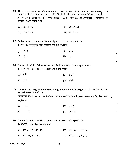**36.** The atomic numbers of elements X, Y and Z are 19, 21 and 25 respectively. The number of electrons present in the  $M$  shells of these elements follow the order

 $X$ ,  $Y$  আৰু  $Z$  মৌলৰ পাৰমাণৱিক সংখ্যা যথাক্ৰমে 19, 21 আৰু 25, এই মৌলবোৰৰ  $M$  শক্তিস্তৰত থকা ইলেক্ট্ৰনৰ সংখ্যাৰ ক্ৰমটো হ'ল

 $[A]$   $Z > X > Y$  $|B|$   $X > Y > Z$  $|C|$   $Z > Y > X$  $[D]$   $Y > Z > X$ 

37. Radial nodes present in 3s and  $2p$  orbitals are respectively  $3s$  আৰু  $2p$  অৰবিটেলত থকা ৰেডিয়েল ন'ড হ'ল যথাক্ৰমে

- $[A]$  0, 2  $|B|$  2.0
- $|C|$  2, 1  $[D]$  1.2

38. For which of the following species, Bohr's theory is not applicable? তলৰ কোনটো আয়নৰ বাবে ব'ৰৰ প্ৰকল্প প্ৰয়োগ কৰা নযায়?

| $[A]/^{\prime} O^{7+}$ | $ B $ Be <sup>3+</sup> |
|------------------------|------------------------|
| $[C]$ $Li^{2+}$        | $ D $ He <sup>2+</sup> |

- 39. The ratio of energy of the electron in ground state of hydrogen to the electron in first excited state of  $Be^{3+}$  is হাইড্ৰ'জেনৰ ভূমিস্তৰ অৱস্থাত থকা ইলেক্ট্ৰনৰ শক্তি আৰু Be<sup>3+</sup> ৰ প্ৰথম উত্তেজিত অৱস্থাত থকা ইলেক্ট্ৰনৰ শক্তিৰ অনপাত হ'ল
	- $[A]$  1:4  $|B|$  1 : 8
	- $\sqrt{D}$  16 : 1  $|C|$  1 : 16

40. The combination which contains only isoelectronic species is সম-ইলেক্ট্রনীয় নমুনা থকা সংহতিটো হ'ল

[A]  $N^{3-}$ ,  $Q^{2-}$ ,  $Cl^-$ , Ne [B]  $P^{3-}$ ,  $S^{2-}$ , Cl<sup>-</sup>, Ar [C]  $\oint$  -, Ar, S<sup>2-</sup>, Cl<sup>-</sup> [D]  $N^{3-}$ , F<sup>-</sup>, O<sup>2-</sup>, Ar

CEE-2014/3-B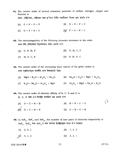41. The correct order of second ionization potential of carbon, nitrogen, oxygen and fluorine is

কাৰ্বন, নাইট্ৰ'জেন, অক্সিজেন আৰু ফ্ল'ৰিনৰ দ্বিতীয় আয়নীকৰণ বিভৱৰ শুদ্ধ ক্ৰমটো হ'ল

- $[B]$  O > N > F > C  $[A]$   $C > N > O > F$
- $[D]{\hspace{-.15cm}/} Y \hspace{.15cm} F > O > N > C$  $|C|$  O > F > N > C
- 42. The electronegativity of the following elements increases in the order তলত দিয়া মৌলবোৰৰ বিদ্যুৎঋণতাৰ বৰ্দ্ধিত ক্ৰমটো হ'ল
	- $[A]$  C, N, Si, P  $[B]$  N, Si, C, P
	- $[C]$  Si, P, C, N  $[D]$  P, Si, N, C
- 43. The correct order of the increasing basic nature of the given oxides is তলৰ অক্সাইডসমূহৰ ক্ষাৰকীয় গুণৰ ঊৰ্ধ্বক্ৰমটো হৈছে
	- [A]  $MgO \lt K_2O \lt A1_2O_3 \lt Na_2O$  [B]  $Na_2O \lt K_2O \lt MgO \lt A1_2O_3$

[C]  $K_2O < Na_2O < Al_2O_3 < MgO$  [D]  $Al_2O_3 < MgO < Ka_2O < K_2O$ 

44. The correct order of electron affinity of B, C, N and O is B, C, N আৰু Oৰ ইলেক্ট্ৰন আসক্তিৰ শুদ্ধ ক্ৰমটো হ'ল

- $[B]$  B > N > C > O  $[A]$  O > C > N > B  $\sqrt{C}$  0 > C > B > N  $[D] \quad O > B > C > N$
- **45.** In XeF<sub>2</sub>, XeF<sub>4</sub> and XeF<sub>6</sub>, the number of lone pairs of electrons respectively is  $XeF_2$ ,  $XeF_4$  আৰু  $XeF_6$  ত থকা অনাবদ্ধ ইলেক্ট্ৰনযুগ্মৰ সংখ্যা হ'ব যথাক্ৰমে
	- $[B]$  1, 2, 3  $[A]$  2, 3, 1
	- $[\mathcal{C}]$  4, 1, 2  $[D]$  3, 2, 1

CEE-2014/3-B

 $\langle \rangle$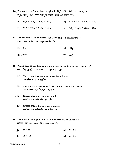**46.** The correct order of bond angles in  $H_2S$ ,  $NH_3$ ,  $BF_3$  and  $SiH_4$  is  $H_2$ S, N $H_3$ , B $F_3$  আৰু Si $H_4$  ত বান্ধনী কোণৰ শুদ্ধ ক্ৰমটো হ'ল [A]  $H_2 S <$  Si $H_4 < N H_3 < B F_3$ [B]  $H_2 S \le NH_3 \le BF_3 \le SH_4$ 

[C] 
$$
H_2S < NH_3 < SH_4 < BF_3
$$
 [D]  $NH_3 < H_2S < SH_4 < BF_3$ 

47. The molecule/ion in which the ONO angle is maximum is ONO কোণ সৰ্বোচ্চ হোৱা অণ/আয়নটো হ'ল

 $[A]$  NO<sub>3</sub>  $[B]$  NO<sub>2</sub>

$$
[C] \diagup NO_2^-
$$

- 48. Which one of the following statements is not true about resonance? তলত দিয়া কোনটো উক্তি সংস্পন্দনৰ বাবে সত্য নহয়?
	- $[A]$ The resonating structures are hypothetical সংস্পন্দিত গঠনবোৰ প্ৰকল্পিত
	- $|{\bf B}|$ The unpaired electrons in various structures are same বিভিন্ন গঠনৰ অযুগ্ম ইলেক্ট্ৰনৰ সংখ্যা সমান
	- Hybrid structure is least stable সংকৰিত গঠন আটাইতকৈ কম সুস্থিৰ
		- [D] Hybrid structure is least energetic সংকৰিত গঠন আটাইতকৈ কম শক্তিসম্পন্ন
- 49. The number of sigma and pi bonds present in toluene is টলুইনত থকা চিগমা আৰু পাই বান্ধনিৰ সংখ্যা হ'ল
	- $3\pi + 8\sigma$  $\mathcal{A}$  $|B|$  3π + 6σ
	- $|C|$  $3\pi + 15\sigma$  $[D]$  6π + 6σ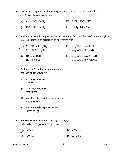- 50. The correct sequence of increasing covalent character is represented by সমযোজী ধৰ্মৰ ঊৰ্ধ্বক্ৰমৰ শুদ্ধ ৰূপ হ'ব
	- [B] BeCl<sub>2</sub>, NaCl, LiCl [A] LiCl, NaCl,  $\text{BeCl}_2$
	- $[\mathcal{G}]$  NaCl, LiCl, BeCl<sub>2</sub> [D] BeCl<sub>2</sub>, LiCl, NaCl
- 51. In which of the following neutralization reactions, the heat of neutralization is highest? তলত দিয়া কোনটো প্ৰশমন বিক্ৰিয়াত প্ৰশমন তাপ সৰ্বাধিক হ'ব?
	- $[A]$  NH<sub>4</sub>OH and H<sub>2</sub>SO<sub>4</sub> NH<sub>4</sub>OH আৰু  $H_2SO_4$ 
		- [C] HCl and NaOH HCl আৰু NaOH
- [B] CH<sub>3</sub>COOH and KOH CH<sub>3</sub>COOH আৰু KOH
- [D]  $CH_3COOH$  and  $NH_4OH$  $CH_3COOH$  আৰু  $NH_4OH$
- 52. Enthalpy of formation of a compound যৌগ এটাৰ সংগঠন এন্থাল্পি হ'ব
	- [A] is always positive সদায় ধনাত্মক
	- is always negative সদায় ঋণাত্মক
		- can be either positive or negative ধনাত্মক বা ঋণাত্মক
		- [D] can be either negative or zero ঋণাত্মক বা শূন্য
- **53.** For the gaseous reaction  $N_2O_4(g) \rightarrow 2NO_2(g)$ গেছীয় বিক্ৰিয়া  $N_2O_4(g) \rightarrow 2NO_2(g)$ ৰ বাবে
	- $[A]/\Delta H = 0$ [B]  $\Delta H = \Delta U$ [D]  $\Delta H > \Delta U$  $|C|$   $\Delta H < \Delta U$
- CEE-2014/3-B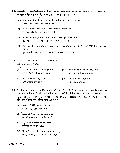- 54. Enthalpy of neutralization of all strong acids and bases has same value, because সকলোবোৰ তীব্ৰ অম্ল আৰু তীব্ৰ ক্ষাৰৰ প্ৰশমন এন্থাল্লিৰ মান সমান, কাৰণ
	- [A] neutralization leads to the formation of a salt and water প্ৰশমনৰ ফলত লৱণ আৰু পানী উৎপন্ন হয়
	- strong acids and bases are ionic substances  $|B|$ তীব্ৰ অম্ল আৰু তীব্ৰ ক্ষাৰ আয়নীয় পদাৰ্থ
	- [C] acids always give  $H^+$  ions and bases give  $OH^-$  ions তীব্ৰ অম্লই সদায়  $H^+$  আয়ন আৰু ক্ষাৰে সদায়  $OH^-$  আয়ন উৎপন্ন কৰে
	- the net chemical change involves the combination of  $H^+$  and  $OH^-$  ions to form  $[D]$ water  $\frac{1}{2}$  ৰাসায়নিক পৰিবৰ্তনত  $H^+$  আৰু  $OH^-$  আয়নৰ সংযোজন হয়

**55.** For a process to occur spontaneously এটা পদ্ধতি স্বতঃস্ফূৰ্ত হ'বৰ বাবে

- $\left[\begin{array}{cc} \Delta A' & (\Delta H T \Delta S) \end{array}\right]$  must be negative  $(\Delta H - T \Delta S)$  ঋণাত্মক হ'ব লাগিব
- [B]  $(\Delta H + T\Delta S)$  must be negative  $(\Delta H + T \Delta S)$  ঋণাত্মক হ'ব লাগিব
- $|C|$   $\Delta H$  must be negative  $\Delta H$  ঋণাত্মক হ'ব লাগিব
	- $[D]$   $\Delta S$  must be negative  $\Delta S$  ঋণাত্মক হ'ব লাগিব
- **56.** For the reaction at equilibrium  $N_2(g) + 3H_2(g) \rightleftharpoons 2NH_3(g)$ , some inert gas is added at constant volume. In this situation, which of the following statements is correct?  $N_2(g) + 3H_2(g) \rightleftharpoons 2NH_3(g)$  বিক্রিয়াটোত স্থিৰ আয়তনত সাম্যাৱস্থাত কিছু নিষ্ক্রিয় গেছ যোগ কৰা হ'ল। ইয়াৰ কাৰণে তলত দিয়া কোনটো উক্তি শুদ্ধ হ'ব?
	- More of  $NH<sub>3</sub>$  gas is produced [A] অধিক  $NH_3$  গেছ উৎপন্ন হ'ব
	- $[B]$  Less of NH<sub>3</sub> gas is produced কম পৰিমাণৰ NH2 গেছ উৎপন্ন হ'ব
	- [C]  $K_p$  of the reaction is increased বিক্ৰিয়াৰ  $K_{_{\rm D}}$ ৰ মান বাঢ়িব
	- No effect on the production of  $NH<sub>3</sub>$  $[D]$  $NH_{3}$  উৎপন্ন হোৱাত কোনো প্ৰভাৱ নপৰে

CEE-2014/3-B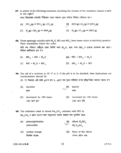57. In which of the following reactions, doubling the volume of the container causes a shift to the right?

তলত দিয়াবোৰৰ কোনটো বিক্ৰিয়াত পাত্ৰৰ আয়তন দুগুণ কৰিলে বিক্ৰিয়া সোঁফালে যাব?

- [A]  $\text{PCl}_5(g) \rightleftharpoons \text{PCl}_3(g) + \text{Cl}_2(g)$ [B]  $2CO(g) + O_2(g) = 2CO_2(g)$ [D]  $H_2(g) + Cl_2(g) \rightleftharpoons 2HCl(g)$ [C]  $N_2(g) + 3H_2(g) \rightleftharpoons 2NH_3(g)$
- **58.** Three sparingly soluble salts  $M_2X$ , MX and MX<sub>3</sub> have same value of solubility product. Their solubilities follow the order

অতি কম পৰিমাণে দ্ৰৱীভূত হোৱা তিনিটা লৱণ  $\rm M_2X$ ,  $\rm MX$  আৰু  $\rm MX_3$ ৰ দ্ৰাৱ্যতা গুণফলৰ মান একে। সিহঁতৰ দ্ৰৱণীয়তাৰ ক্ৰম হ'ব

- [A]  $MX_3$  > MX > M<sub>2</sub>X  $[B]$   $-MX > MX_3 > M_2X$
- $[D]$  MX<sub>2</sub> > M<sub>2</sub>X > MX [C]  $MX > M_2X > MX_3$
- 59. The pH of a solution at 25 °C is 2. If the pH is to be doubled, then hydronium ion concentration should be

25 °C উষ্ণতাত এটা দ্ৰৱৰ pH ৰ মান 2. pH ৰ মান দুগুণ কৰিবলৈ হ'লে হাইড্ৰ'নিয়াম আয়নৰ গাঢ়তা হ'ব

100 গুণে বৃদ্ধি

- $\frac{[B]}{2}$ halved  $|A|$ doubled আধা দগুণ decreased by 100 times [D] increased by 100 times  $|C|$
- 100 গুণে হ্ৰাস
- **60.** The indicator used to titrate  $\text{Na}_2\text{CO}_3$  solution with HCl is  $\mathrm{Na_{2}CO_{3}}$ ৰ দ্ৰৱক HClৰ দ্বাৰা অনুমাপনৰ সময়ত ব্যৱহাৰ কৰা সূচকবিধ হৈছে
	- $\begin{picture}(1,0) \put(0,0){\line(1,0){15}} \put(1,0){\line(1,0){15}} \put(1,0){\line(1,0){15}} \put(1,0){\line(1,0){15}} \put(1,0){\line(1,0){15}} \put(1,0){\line(1,0){15}} \put(1,0){\line(1,0){15}} \put(1,0){\line(1,0){15}} \put(1,0){\line(1,0){15}} \put(1,0){\line(1,0){15}} \put(1,0){\line(1,0){15}} \put(1,0){\line(1,0){15}} \put(1,0){$  $[A]$ phenolphthalein ফেনল্পথেলিন
	- $|C|$ methyl orange [D] None of the above ওপৰৰ এটাও নহয় মিথাইল অৰেঞ্জ

CEE-2014/3-B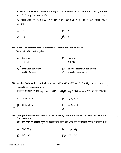**61.** A certain buffer solution contains equal concentration of  $X^-$  and HX. The  $K_a$  for HX is  $10^{-8}$ . The pH of the buffer is এটা বাফাৰ দ্ৰৱত সম গাঢ়তাৰ X<sup>-</sup> আৰু HX আছে। HXৰ  $K_{\rm a}$ ৰ মান  $10^{-8}$  হ'লে বাফাৰ দ্ৰৱটোৰ pH २'व

$$
[A] \quad 3 \qquad [B] \quad 8
$$

- $\bigwedge$  14  $|C|$ 11
- 62. When the temperature is increased, surface tension of water উষ্ণতা বৃদ্ধি কৰিলে পানীৰ পৃষ্ঠটান
	- $|A|$ increases  $|B|$ decreases বদ্ধি হয় হ্ৰাস পায় remains constant shows irregular behaviour  $|D|$ অস্বাভাৱিক আচৰণৰ হয় অপৰিবৰ্তিত থাকে

**63.** In the balanced chemical reaction  $IO_3^- + aI^- + bH^+ \rightarrow cH_2O + dI_2$ ; a, b, c and d respectively correspond to সমতুলিত ৰাসায়নিক বিক্ৰিয়া  $1O_3^- + aI^- + bH^+ \rightarrow cH_2O + dI_2$ ৰ বাবে a, b, c আৰু  $d$ ৰ মান যথাক্ৰমে

 $[A]$  5, 6, 3, 3  $[B]$  5, 3, 6, 3  $[D]$  5, 6, 5, 5 3, 5, 3, 6  $|C|$ 

64. One gas bleaches the colour of the flower by reduction while the other by oxidation. The gases are এটা গেছে বিজ্ঞাৰণৰ জৰিয়তে ফুলৰ ৰং বিৰঞ্জন কৰে আৰু আন এটাই জাৰণৰ জৰিয়তে কৰে। গেছকেইটা হ'ল

- $[A]$  CO, Cl<sub>2</sub> [B]  $H_2S, Br_2$
- $\mathbb{R}$   $\mathbb{R}$   $\mathbb{R}$   $\mathbb{R}$   $\mathbb{R}$   $\mathbb{R}$   $\mathbb{R}$   $\mathbb{R}$   $\mathbb{R}$   $\mathbb{R}$   $\mathbb{R}$   $\mathbb{R}$   $\mathbb{R}$   $\mathbb{R}$   $\mathbb{R}$   $\mathbb{R}$   $\mathbb{R}$   $\mathbb{R}$   $\mathbb{R}$   $\mathbb{R}$   $\mathbb{R}$   $\mathbb{R}$   $\mathbb{R}$   $\mathbb{R}$   $\mathbb{$  $|c|$  so<sub>2</sub>,  $c_1$ <sup>2</sup>

CEE-2014/3-B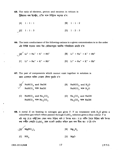65. The ratio of electron, proton and neutron in tritium is ট্ৰিছিয়ামত থকা ইলেক্ট্ৰন, প্ৰ'টন আৰু নিউট্ৰনৰ অনুপাত হ'ল

 $[A] 1:1:1$  $|B|$  1:1:2  $1:1:3$  $\mathbb{C}^{\mathcal{C}}$  $|D|$  1 : 2 : 3

66. The ionic conductance of the following cations in a given concentration is in the order এটা নিৰ্দ্দিষ্ট গাঢ়তাত তলত দিয়া কেটায়নসমূহৰ আয়নীয় পৰিবাহিতাৰ ক্ৰমটো হ'ল

 $\left[\begin{array}{ccc} A \end{array}\right]^{A} Li^{+} \leq Na^{+} \leq K^{+} \leq Rb^{+}$  $[B]$   $Li^+ > Na^+ > K^+ > Rb^+$  $[C]$  Li<sup>+</sup> > Na<sup>+</sup> < K<sup>+</sup> < Rb<sup>+</sup>  $[D]$   $Li^+ = Na^+ < K^+ < Rb^+$ 

- 67. The pair of components which cannot exist together in solution is দ্ৰৱত একেলগে থাকিব নোৱাৰা যৌগৰ যুগ্মটো হ'ল
	- $[M]$  NaHCO<sub>3</sub> and NaOH<br>NaHCO<sub>3</sub> আৰু NaOH [B] NaHCO<sub>3</sub> and  $H_2O$ NaHCO<sub>3</sub> আৰু  $H_2O$
	- [C] NaHCO<sub>3</sub> and  $\text{Na}_2\text{CO}_3$ [D]  $\text{Na}_2\text{CO}_3$  and NaOH NaHCO<sub>3</sub> আৰু Na<sub>2</sub>CO<sub>3</sub>  $\text{Na}_2\text{CO}_3$  আৰু NaOH
- **68.** A metal X on heating in nitrogen gas gives Y. Y on treatment with  $H_2O$  gives a colourless gas which when passed through  $CuSO<sub>4</sub>$  solution gives a blue colour. Y is এটা ধাতু X য়ে নাইট্ৰ'জেন গেছৰ লগত বিক্ৰিয়া কৰি Y উৎপন্ন কৰে। Y য়ে পানীৰ সৈতে বিক্ৰিয়া কৰি উৎপন্ন কৰা বৰ্ণহীন গেছটো CuSO<sub>4</sub> দ্ৰৱৰ মাজেদি প্ৰবাহিত কৰিলে দ্ৰৱৰ বৰণ নীলা হয়। Y টো হ'ল

$$
\begin{array}{ll}\n[A] \quad \text{Mg}(\text{NO}_3)_2 \\
[C] \quad \text{NH}_3\n\end{array}
$$
\n[**B**] \quad \text{Mg}\_3\text{N}\_2\n\end{array}\n[**C**] \quad \text{Mg}(\text{NO}\_3)\_2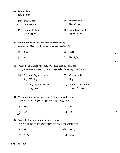69.  $B(OH)_{3}$  is a  $B(OH)$ , হ'ল

| [AY]                     | triacid base                     | IBI | tribasic acid                      |
|--------------------------|----------------------------------|-----|------------------------------------|
| $\overline{\phantom{a}}$ | ত্ৰি–আস্লিক ক্ষাৰ                |     | ত্ৰি-ক্ষাৰীয় অম্ল                 |
|                          | monoacid base<br>এক–আশ্ৰিক ক্ষাৰ | IDI | monobasic acid<br>এক-ক্ষাৰীয় অম্ল |

70. Iodine stains on clothes can be removed by কাপোৰত আয়'ডিনৰ দাগ আঁতৰাবলৈ ব্যৱহাৰ কৰা পদাৰ্থবিধ হ'ল

**NaCl**  $|B|$ NaBr  $[A]$ [D]  $\text{Na}_2\text{S}_2\text{O}_3$  $[C]$ KI

71. When  $I_2$  is passed through KCl, KBr and KF solution KCl, KBr আৰু KF দ্ৰৱৰ মাজেৰে I<sub>2</sub> চালিত কৰিলে উৎপন্ন হোৱা পদাৰ্থ হ'ব

- $\begin{bmatrix} A \end{bmatrix}^{\prime}$  Cl<sub>2</sub> and Br<sub>2</sub> are evolved<br>Cl<sub>2</sub> आरु Br<sub>2</sub> [B]  $Cl_2$  is evolved  $Cl<sub>2</sub>$
- $\left[ \textbf{C} \right]$   $\left[ \textbf{C} \right]_2$  ,  $\textbf{Br}_2$  ,  $\textbf{F}_2$  are evolved [D] None of the above  $Cl_2$ ,  $Br_2$  আৰু  $F_2$ ওপৰৰ এটাও নহয়
- 72. The most abundant inert gas in the atmosphere is বায়ুমণ্ডলত আটাইতকৈ বেছি পৰিমাণে থকা নিষ্ক্ৰিয় গেছটো হ'ল

He  $|B|$ Ne  $[A]$ [C]∕ Ar  $[D]$ Kr

- 73. Moist iodine reacts with ozone to give সেমেকা আয়'ডিনে অ'যনৰ সৈতে বিক্ৰিয়া কৰি উৎপন্ন কৰা যৌগটো হ'ল
	- $\sqrt{B}$  HIO<sub>3</sub>  $|A|$ HI  $[D]$   $I_2O_5$  $[C]$   $I_2O_4$

CEE-2014/3-B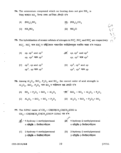- 74. The ammonium compound which on heating does not give  $NH<sub>3</sub>$  is উত্তপ্ত কৰোতে NH<sub>3</sub> উৎপন্ন নকৰা এম'নিয়াম যৌগটো হ'ল
	- $[A]$  (NH<sub>4</sub>)<sub>2</sub>SO<sub>4</sub>  $[{\rm B}]$   $[{\rm NH}_4]_2$  CO<sub>3</sub>
	- $[C]$  NH<sub>a</sub>NO<sub>2</sub>  $[D]$  NH<sub>a</sub>Cl

**75.** The hybridization of atomic orbitals of nitrogen in  $NO_2^+$ ,  $NO_3^-$  and  $NH_4^+$  are respectively  $NO_2^*$ ,  $NO_3^-$  আৰু  $NH_4^+$  ত নাইট্ৰ'জেনৰ পাৰমাণৱিক অৰবিটেলসমূহৰ সংকৰিত অৱস্থা হ'ল যথাক্ৰমে

- $\sqrt{B}$  sp, sp<sup>2</sup> and sp<sup>3</sup> [A] sp, sp<sup>3</sup> and sp<sup>2</sup>  $sp,~{\mathrm sp}^2$  আৰু  ${\mathrm sp}^3$  $sp.$   $sp^3$  আৰু  $sp^2$
- [C]  $sp^2$ , sp and  $sp^3$ [D]  $sp^2$ ,  $sp^3$  and sp  $sp^2$ , sp আৰু sp<sup>3</sup>  $sp^2$   $sp^3$  আৰু  $sp$

**76.** Among  $Al_2O_3$ ,  $SiO_2$ ,  $P_2O_3$  and  $SO_2$ , the correct order of acid strength is  $\overline{Al}_2O_3$ ,  $\overline{SiO}_2$ ,  $P_2O_3$  আৰু  $\overline{SO}_2$ ৰ আম্লিকতাৰ শুদ্ধ ক্ৰমটো হ'ল

[A]  $SO_2 \le P_2O_3 \le SiO_2 \le Al_2O_3$   $\qquad \qquad \text{[B]} \quad SiO_2 \le SO_2 \le Al_2O_3 \le P_2O_3$ [C]  $Al_2O_3 < SiO_2 < SO_2 < P_2O_3$  [D]  $Al_2O_3 < SiO_2 < P_2O_3 < SO_2$ 

77. The IUPAC name of  $CH_3$ — CH(OH)CH<sub>2</sub>CH(CH<sub>3</sub>)CHO is  $\text{CH}_3$ — CH(OH)CH<sub>2</sub>CH(CH<sub>3</sub>)CHO व IUPAC नाथ २'ल  $\overline{\mathcal{B}}$  4-hydroxy-2-methylpentanal  $\text{Im}(\text{A})$  4-hydroxy-1-methylpentanal 4-হাইডক্সি-1-মিথাইলপেন্টানেল 4-হাইড্স্সি-2-মিথাইলপেন্টানেল [C] 2-hydroxy-4-methylpentanal 2-hydroxy-2-methylpentanal  $[D]$ 2-হাইডুক্সি-4-মিথাইলপেন্টানেল 2-হাইড্ৰক্সি-2-মিথাইলপেন্টানেল

CEE-2014/3-B

 $\frac{45}{35}$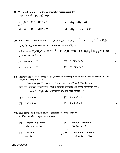78. The nucleophilicity order is correctly represented by নিউক্লিঅ'ফিলিচিটিৰ শুদ্ধ ক্ৰমটো হৈছে

[A] 
$$
CH_3^- < NH_2^- < OH^- < F^-
$$
 [B]  $CH_3^- \approx NH_2^- > OH^- \approx F^-$   
\n[C]  $CH_3^- > NH_2^- > OH^- > F^-$  [D]  $NH_2^- > F^- > OH^- > CH_3^-$ 

the carbocations  $C_6H_5\ddot{C}H_2(\mathbf{I}), C_6H_5CH_2\ddot{C}H_2(\mathbf{I}), C_6H_5\ddot{C}HCH_3(\mathbf{II}),$ **79. For**  $C_6H_5CCH_3$ , (IV), the correct sequence for stability is কার্বকেটায়ন C<sub>6</sub>H<sub>5</sub> CH<sub>2</sub>(I), C<sub>6</sub>H<sub>5</sub>CH<sub>2</sub> CH<sub>2</sub>(II), C<sub>6</sub>H<sub>5</sub> CHCH<sub>3</sub>(III), C<sub>6</sub>H<sub>5</sub> C(CH<sub>3</sub>)<sub>2</sub>(IV)ৰ বাবে সন্থিৰতাৰ শুদ্ধ ক্ৰমটো হ'ল

- $\begin{aligned} \begin{bmatrix} \mathbb{A} \end{bmatrix}^{\sim} \ \text{II} < \text{I} < \text{III} < \text{IV} \end{aligned}$  $|B|$   $II < III < I < IV$ 
	- $|C|$  III < I < II < IV  $[D]$   $IV < III < I < II$
- 80. Identify the correct order of reactivity in electrophilic substitution reactions of the following compounds :

Benzene (1), Toluene (2), Chlorobenzene (3) and Nitrobenzene (4) তলত দিয়া যৌগসমূহৰ ইলেক্ট্ৰ'ফিলীয় প্ৰতিস্থাপন বিক্ৰিয়াত সক্ৰিয়তাৰ শুদ্ধ ক্ৰমটো চিনাক্তকৰণ কৰা:

(বনজিন (1), টলুইন (2), ক্ল'ৰ'বেনজিন (3) আৰু নাইট্ৰ'বেনজিন (4)

 $[A]$  1>2>3>4  $|B|$  4 > 3 > 2 > 1  $|C|$   $2 > 1 > 3 > 4$  $[D]$  2 > 3 > 1 > 4

- 
- 81. The compound which shows geometrical isomerism is জ্যামিতিক সমযোগিতা দেখুওৱা যৌগটো হৈছে
	- 2-methyl-1-pentene 2-methyl-2-pentene  $[A]$  $|B|$ 2-মিথাইল-2-পেন্টিন  $2$ -মিথাইল-1-পেন্টিন
	- 2,3-dimethyl-2-butene  $|C|$  2-hexene  $2.3$ -ডাইমিথাইল- $2$ -বিউটিন 2-হেক্সিন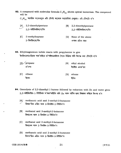82. A compound with molecular formula  $C_7H_{16}$  shows optical isomerism. The compound will be

 $C_7H_{16}$  আণৱিক সংকেতযুক্ত এটা যৌগই আলোক সমযোগিতা দেখুৱায়। এই যৌগটো হ'ব

- 2,3-dimethylpentane  $[A]$  $|B|$ 2,2-dimethylpentane  $2,3$ -ডাইমিথাইলপেন্টেন  $2.2$ -ডাইমিথাইলপেন্টেন
- 2-methylheptane  $|C|$ None of the above  $[D]$ 2-মিথাইলহেপ্টেন ওপৰৰ এটাও নহয়
- 83. Ethylmagnesium iodide reacts with propylamine to give ইথাইলমেগনেছিয়াম আয়'ডাইডে প্ৰ'পাইলএমাইনৰ সৈতে বিক্ৰিয়া কৰি উৎপন্ন কৰা যৌগটো হ'ল

| A   | propane | [B] | ethyl alcohol |
|-----|---------|-----|---------------|
|     | প্ৰ'পেন |     | ইথাইল এলক'হল  |
|     |         |     |               |
| ICI | ethane  | [D] | ethene        |
|     | ইথেন    |     | ীথন           |

- 84. Ozonolysis of 2,3-dimethyl-1-butene followed by reduction with Zn and water gives 2,3-ডাইমিথাইল-1-বিউটিনক অ'জন'লাইচিচ কৰি Zn আৰু পানীৰ দ্বাৰা বিজাৰণ কৰিলে উৎপন্ন হ'ব
	- [A] methanoic acid and 3-methyl-2-butanone মিথান'য়িক এছিড আৰু 3-মিথাইল-2-বিউটান'ন
	- $|B|$ methanal and 3-methyl-2-butanone মিথানেল আৰু 3-মিথাইল-2-বিউটান'ন
	- $|C|$ methanal and 2-methyl-3-butanone মিথানেল আৰু 2-মিথাইল-3-বিউটান'ন
	- [D] methanoic acid and 2-methyl-3-butanone মিথান'য়িক এছিড আৰু 2-মিথাইল-3-বিউটান'ন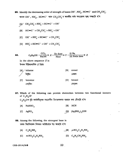**85.** Identify the decreasing order of strength of bases OH<sup>-</sup>, NH<sub>2</sub>, HC=C<sup>-</sup> and CH<sub>3</sub>CH<sub>2</sub>. ক্ষাৰক OH-, NH<sub>2</sub>, HC=C- আৰু CH<sub>3</sub>CH<sub>2</sub> ৰ ক্ষাৰকীয় ধৰ্মৰ অধঃক্ৰমৰ শুদ্ধ সজ্জাটো হ'ব

$$
[A] \diagup CH_3CH_2^- > NH_2^- > HC = C^- > OH^-
$$

- [B]  $\text{HC} = \text{C}^-$  >  $\text{CH}_3\text{CH}_2^-$  >  $\text{NH}_2^-$  >  $\text{OH}^-$
- [C] OH<sup>-</sup> > NH<sub>2</sub> > HC= $C^-$  > CH<sub>3</sub>CH<sub>2</sub>
- [D]  $NH_2^- > H\text{C} \text{m}^-\text{C} > \text{OH}^-\text{C} \text{H}_3\text{CH}_2^-$

| 86. |     |                              |  |     | C <sub>2</sub> H <sub>5</sub> OH $\frac{CCl_4}{NaOH}$ $\rightarrow$ X $\frac{Zn \text{ dust}}{Heat}$ Y $\frac{(i) \text{ Na}}{(ii) \text{ Soda lime}}$ $\rightarrow$ Z |
|-----|-----|------------------------------|--|-----|------------------------------------------------------------------------------------------------------------------------------------------------------------------------|
|     |     | In the above sequence $Z$ is |  |     |                                                                                                                                                                        |
|     |     | উপৰৰ বিক্ৰিয়ালানিত $Z$ হৈছে |  |     |                                                                                                                                                                        |
|     |     | toluene                      |  | [B] | cresol                                                                                                                                                                 |
|     |     |                              |  |     | ক্ৰেছণ                                                                                                                                                                 |
|     | lC. | benzene                      |  | D   | benzol                                                                                                                                                                 |
|     |     |                              |  |     |                                                                                                                                                                        |

87. Which of the following can provide distinction between two functional isomers of  $C_3H_6O$ ?

 $C_3H_6O$ ৰ দুটা কাৰ্যকৰীমূলক সমযোগীৰ চিনাক্তকৰণত ব্যৱহাৰ কৰা যৌগটো হ'ল

- HCN  $[A]$  $NAHSO<sub>3</sub>$  $|B|$
- $[C]$  AgNO<sub>3</sub> [D]  $[Ag(NH_3)_2]OH$

88. Among the following, the strongest base is তলত দিয়াবিলাকৰ ভিতৰত আটাইতকৈ উগ্ৰ ক্ষাৰটো হ'ল

- $[B] p-NO_2C_6H_4NH_2$  $[A]$  C<sub>6</sub>H<sub>5</sub>NH<sub>2</sub>
- [D]  $C_6H_5CH_2NH_2$ [C]  $m\text{-}NO_2C_6H_4NH_2$

CEE-2014/3-B

 $22<sub>1</sub>$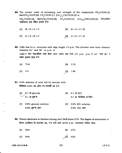- **89.** The correct order of increasing acid strength of the compounds  $CH<sub>3</sub>COOH (A)$ , MeOCH<sub>2</sub>COOH (B), CF<sub>3</sub>COOH (C),  $\text{(CH}_3\text{)}_2$ CHCOOH (D) is CH<sub>3</sub>COOH (A), MeOCH<sub>2</sub>COOH (B), CF<sub>3</sub>COOH (C), (CH<sub>3</sub>)<sub>2</sub>CHCOOH (D) যৌগকেইটাৰ আম্লিকতাৰ শুদ্ধ বৰ্দ্ধিত ক্ৰমটো হ'ল
	- $[A]$   $B < D < A < C$  $[B]$   $D < A < C < B$

 $[C]$   $D < A < B < C$ [D]  $A < D < C < B$ 

90. CsBr has b.c.c. structure with edge length 4.3 p.m. The shortest inter-ionic distance between  $Cs<sup>+</sup>$  and  $Br<sup>-</sup>$  in p.m. is CsBr ৰ গঠন কায়কেম্ব্ৰিক আৰু ইয়াৰ একক কোষৰ প্ৰান্ত দৈৰ্ঘ্য 4.3 p.m. p.m. ত Cs<sup>+</sup> আৰু Br<sup>-</sup> ৰ মাজৰ ন্যানতম দূৰত্ব হ'ল

IAl 7.44 tcl 4.3 lBl 3'72 2t r'86

91. 0.6% solution of urea will be isotonic with ইউৰিয়াৰ  $0.6\%$  দ্ৰৱ এটাৰ সম-ৰসাক্ষী দ্ৰৱ হ'ব

 $[A]$  O.1 M glucose  $0.1$  *M* গ্লক'জ  $|B|$  0.1 *M* KCl  $0.1$  M পটাছিয়াম ক্ল'ৰাইড

lcl O'67o glucose solution  $0.6\%$  গ্লুক'জ দ্ৰৱণ IDl O'6Yo KCI solution  $0.6\%$  KCl  $\overline{a}$  $\overline{q}$ q

92. Phenol dimerizes in benzene having van't Hoff factor 0.54. The degree of association is ftiam বেন্জিনত দ্বি-সংযোজন হয়, য'ত ভান্ট হফৰ গুণাংক 0.54. সংযোজনৰ পৰিমাণ হৈছে

| $[A]$ 46% |                          | $ B $ 27% |
|-----------|--------------------------|-----------|
| [C] 54%   | $\mu$ <sup>[2]</sup> 92% |           |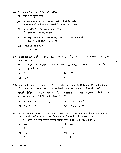93. The main function of the salt bridge is

লৱণ সেতুৰ প্ৰধান ভূমিকা হ'ল

M<sup>-1</sup>

to allow ions to go from one half-cell to another আয়নবোৰক এটা অৰ্দ্ধকোষৰ পৰা আনটোলৈ যোৱাত সহায়তা কৰা

- lBl to provide link between two half-cells দটা অৰ্দ্ধকোষৰ মাজত সংযোগ কৰা
- tcl to keep the solution electrically neutral in two half-cells দুটা অৰ্দ্ধকোষৰ দ্ৰৱক বিদ্যুৎ নিৰপেক্ষ কৰা
- IDl None of the above ওপৰৰ এটাও নহয়

**94.** In the cell  $\text{Zn } | \text{Zn}^{2+} (C_1) | | \text{Cu}^{2+} (C_2) | \text{Cu}, E_{cell} - E_{cell}^{\circ} = 0.0591 \text{ V}.$  The ratio,  $C_1 / C_2$ , at 298 K will be  $|Zn| |Zn|^{2+} (C_1) | |Cu^{2+} (C_2)| | Cu$  কোষটোৰ বাবে  $E_{cell} - E_{cell}^{\circ} = 0.0591 V.$  298 K উষ্ণতাত IB1 1oo  $[D]$  1  $C_1$  /  $C_2$  অনুপাতটো হ'ব  $[A]$  2  $|C|$   $10^{-2}$ 

**95.** In an endothermic reaction  $A \rightarrow B$ , the activation energy is 10 kcal mol<sup>-1</sup> and enthalpy of reaction is  $+5$  kcal mol<sup>-1</sup>. The activation energy for the backward reaction is

তাপগ্ৰাহী বিক্ৰিয়া  $A \rightarrow B$ ত সক্ৰিয়ন শক্তি 10 kcal mol<sup>-1</sup> আৰু এন্থাল্লিৰ পৰিবৰ্ত্তন হ'ল + 5 kcal mol<sup>-1</sup>. বিপৰীতমুখী বিক্ৰিয়াৰ সক্ৰিয়ন শক্তি হ'ব

,  $[B]$  10 kcal mol<sup>-1</sup> [D]  $15$  kcal mol<sup>-1</sup>  $[A]$  20 kcal mol<sup>-1</sup>  $[C]$  / 5 kcal mol<sup>-1</sup>

**96.** For a reaction  $A \rightarrow B$ , it is found that rate of the reaction doubles when the concentration of A is increased four times. The order of the reaction is  $A\rightarrow B$  বিক্ৰিয়াত  $A$ ৰ গাঢ়তা চাৰিগুণ কৰিলে বিক্ৰিয়াৰ গতিবেগ দুগুণ হ'ব ৷ বিক্ৰিয়াৰ ক্ৰম হ'ল

এক I  $[A]$  two  $[\cancel{B}]$  half দুই আধা ICI one tDl zero শূন্য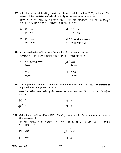- **97.** A freshly prepared Fe(OH)<sub>3</sub> precipitate is peptized by adding FeCl<sub>3</sub> solution. The charge on the colloidal particle of  $Fe(OH)_{3}$  sol is due to adsorption of নতুনকৈ তৈয়াৰ কৰা Fe(OH) $_3$  অধঃক্ষেপত FeCl $_3$  যোগ কৰি পেপ্টাইজেছন কৰা হয়। Fe(OH) $_3$ ৰ কলয়ডীয় কণিকাবোৰৰ আধানৰ বাবে অধিশোষণ কৰিবলগীয়া কাৰক হ'ল
	- $|B|$  Fe<sup>3+</sup> ion  $\mathrm{Fe}^{\,3+}\,$  আয়ন [A] Cl<sup>-</sup> ion  $Cl^-$  আয়ন
	- $[C]$  OH<sup>-</sup> ion  $OH^-$  আয়ন lDl/ None of the above  $\,\,\swarrow\,\,$  ওপৰৰ এটাও নহয়
- 98. In the production of iron from haematite, the limestone acts as হেমেটাইটৰ পৰা আইৰন উৎপন্ন কৰোঁতে ব্যৱহৃত চূণশিলে কি হিচাবে কাম কৰে?

| [A]            | a reducing agent<br>বিজাৰক | [B} | flux<br>বিগালক   |
|----------------|----------------------------|-----|------------------|
| $ \mathbf{C} $ | slag<br>ধাতুমল             | [D] | gangue<br>খানজমল |

সংক্ৰমণশীল মৌলৰ আয়ন এটাৰ চুম্বকীয় ভ্ৰামকৰ মান হ'ল 3·87 BM. ইয়াত থকা অযুগ্ম ইলেক্ট্ৰনৰ 99. The magnetic moment of a transition metal ion is found to be 3.87 BM. The number of unpaired electrons present in it is

সংখ্যা হ'ল

| $[A]$ 2 | $ B $ 3 |  |
|---------|---------|--|
| $E$ 4   | $[D]$ 5 |  |

- 100. Oxidation of oxalic acid by acidified  $KMnO<sub>4</sub>$  is an example of autocatalysis. It is due to the presence of এছিডমিশ্ৰিত  $\bold{KMnO}_4$  ৰ দ্বাৰা অক্সেলিক এছিডৰ জাৰণ বিক্ৰিয়াটো স্বানুঘটনৰ উদাহৰণ। ইয়াৰ বাবে উপস্থিত থকা আয়নটো হ'ল
	- [A]  $SO_4^{2-}$   $(B)$   $MnO_4^-$
	- $[C]$  Mn<sup>2+</sup>  $|D|$  K<sup>+</sup>

lP.T.o.